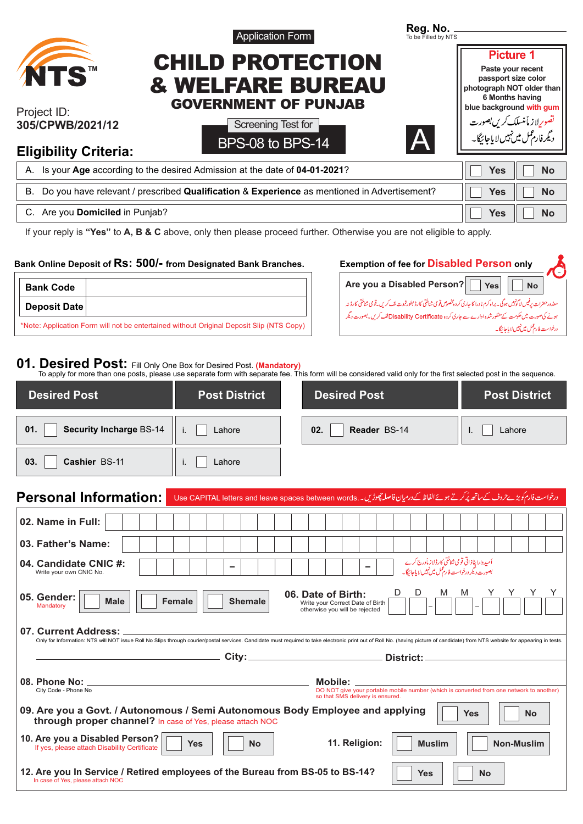| Application Form                                                                                                                         | Reg. No.<br>To be Filled by NTS                                                                                                                          |
|------------------------------------------------------------------------------------------------------------------------------------------|----------------------------------------------------------------------------------------------------------------------------------------------------------|
| <b>CHILD PROTECTION</b><br><b>NTST</b><br><b>&amp; WELFARE BUREAU</b>                                                                    | <b>Picture 1</b><br>Paste your recent<br>passport size color<br>photograph NOT older than                                                                |
| <b>GOVERNMENT OF PUNJAB</b><br>Project ID:<br>Screening Test for<br>305/CPWB/2021/12<br>BPS-08 to BPS-14<br><b>Eligibility Criteria:</b> | 6 Months having<br>blue background with gum<br>تصويرلاز مأمنسلك كريں بصورت<br>.<br>دیگرفارم <sup>عمل</sup> میں نہیں لایاجائیگا۔<br>$\boldsymbol{\Delta}$ |
| Is your Age according to the desired Admission at the date of 04-01-2021?<br>А.                                                          | <b>Yes</b><br><b>No</b>                                                                                                                                  |
| Do you have relevant / prescribed Qualification & Experience as mentioned in Advertisement?<br>В.                                        | <b>Yes</b><br><b>No</b>                                                                                                                                  |
| C. Are you Domiciled in Punjab?                                                                                                          | <b>Yes</b><br><b>No</b>                                                                                                                                  |
| If your reply is "Yes" to A, B & C above, only then please proceed further. Otherwise you are not eligible to apply.                     |                                                                                                                                                          |

#### **Bank Online Deposit of Rs: 500/- from Designated Bank Branches.**

| <b>Bank Code</b>                                                                         |        |
|------------------------------------------------------------------------------------------|--------|
| Deposit Date                                                                             | رڈ نہ  |
| *Note: Application Form will not be entertained without Original Deposit Slip (NTS Copy) | ، ديگر |

| <b>Exemption of fee for Disabled Person only</b>                                                                                                                                                                                                                         |  |
|--------------------------------------------------------------------------------------------------------------------------------------------------------------------------------------------------------------------------------------------------------------------------|--|
| Are you a Disabled Person?   Yes     No                                                                                                                                                                                                                                  |  |
| معذور حضرات پرفیس لاگونبیں ہوگی۔ براہ کرم نادرا کا جاری کردہ مخصوص تو می شناختی کارڈ بطور ثبوت لف کریں۔قومی شناختی کارڈ نہ<br>ہونے کی صورت میں حکومت کے منظور شدہ ادارے سے جاری کردہ Disability Certificate لف کریں۔بصورت دیگر<br>درخواست فارم عمل میں نہیں لا پاجائیگا۔ |  |

01. Desired Post: Fill Only One Box for Desired Post. (Mandatory)<br>To apply for more than one posts, please use separate form with separate fee. This form will be considered valid only for the first selected post in the seq

| <b>Desired Post</b>                                                                                                                        | <b>Post District</b>            | <b>Desired Post</b>                                                                                                                                                                                                            | <b>Post District</b>    |
|--------------------------------------------------------------------------------------------------------------------------------------------|---------------------------------|--------------------------------------------------------------------------------------------------------------------------------------------------------------------------------------------------------------------------------|-------------------------|
| <b>Security Incharge BS-14</b><br>01.                                                                                                      | Lahore<br>i.                    | Reader BS-14<br>02.                                                                                                                                                                                                            | Lahore<br>Ι.            |
| Cashier BS-11<br>03.                                                                                                                       | Lahore<br>i.                    |                                                                                                                                                                                                                                |                         |
| <b>Personal Information:</b>                                                                                                               |                                 | درخواست فارم کو بڑے حروف کے ساتھ پُر کرتے ہوئے الفاظ کے درمیان فاصلہ چھوڑیں۔ Use CAPITAL letters and leave spaces between words                                                                                                |                         |
| 02. Name in Full:                                                                                                                          |                                 |                                                                                                                                                                                                                                |                         |
| 03. Father's Name:                                                                                                                         |                                 |                                                                                                                                                                                                                                |                         |
| 04. Candidate CNIC #:<br>Write your own CNIC No.                                                                                           |                                 | اُمیدوارا پناذاتی قومی شاختی کارڈ لاز ماْدرج کرے<br>بصورت دیگر درخواست فارم عمل میں نہیں لا یا جائیگا۔                                                                                                                         |                         |
| 05. Gender:<br><b>Male</b><br>Mandatory                                                                                                    | <b>Female</b><br><b>Shemale</b> | D<br>D<br>06. Date of Birth:<br>Write your Correct Date of Birth<br>otherwise you will be rejected                                                                                                                             | M                       |
| 07. Current Address:                                                                                                                       |                                 | Only for Information: NTS will NOT issue Roll No Slips through courier/postal services. Candidate must required to take electronic print out of Roll No. (having picture of candidate) from NTS website for appearing in tests |                         |
|                                                                                                                                            |                                 | City: District:                                                                                                                                                                                                                |                         |
| 08. Phone No:<br>City Code - Phone No                                                                                                      |                                 | Mobile:<br>DO NOT give your portable mobile number (which is converted from one network to another)<br>so that SMS delivery is ensured.                                                                                        |                         |
| 09. Are you a Govt. / Autonomous / Semi Autonomous Body Employee and applying<br>through proper channel? In case of Yes, please attach NOC |                                 |                                                                                                                                                                                                                                | <b>Yes</b><br><b>No</b> |
| 10. Are you a Disabled Person?<br>If yes, please attach Disability Certificate                                                             | <b>No</b><br>Yes                | 11. Religion:<br><b>Muslim</b>                                                                                                                                                                                                 | <b>Non-Muslim</b>       |
| 12. Are you In Service / Retired employees of the Bureau from BS-05 to BS-14?<br>In case of Yes, please attach NOC                         |                                 | <b>Yes</b>                                                                                                                                                                                                                     | <b>No</b>               |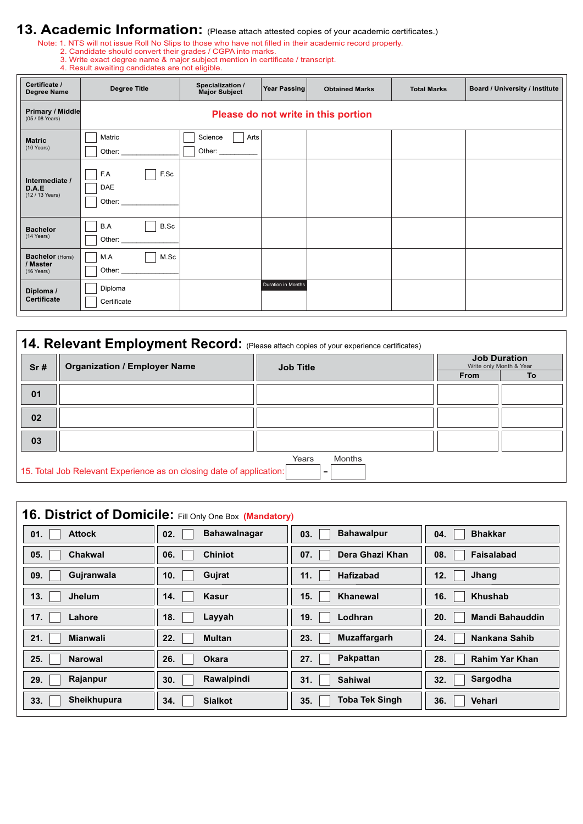# **13. Academic Information:** (Please attach attested copies of your academic certificates.)

Note: 1. NTS will not issue Roll No Slips to those who have not filled in their academic record properly.

- 2. Candidate should convert their grades / CGPA into marks.
- 3. Write exact degree name & major subject mention in certificate / transcript.

| 4. Result awaiting candidates are not eligible. |  |  |
|-------------------------------------------------|--|--|

| Certificate /<br><b>Degree Name</b>        | <b>Degree Title</b>          | Specialization /<br><b>Major Subject</b> | Year Passing       | <b>Obtained Marks</b>               | <b>Total Marks</b> | <b>Board / University / Institute</b> |
|--------------------------------------------|------------------------------|------------------------------------------|--------------------|-------------------------------------|--------------------|---------------------------------------|
| <b>Primary / Middle</b><br>$(05/08$ Years) |                              |                                          |                    | Please do not write in this portion |                    |                                       |
| <b>Matric</b><br>(10 Years)                | Matric<br>Other:             | Science<br>Arts<br>Other:                |                    |                                     |                    |                                       |
| Intermediate /<br>D.A.E<br>(12 / 13 Years) | F.A<br>F.Sc<br>DAE<br>Other: |                                          |                    |                                     |                    |                                       |
| <b>Bachelor</b><br>(14 Years)              | B.A<br>B.Sc<br>Other:        |                                          |                    |                                     |                    |                                       |
| Bachelor (Hons)<br>/ Master<br>(16 Years)  | M.Sc<br>M.A<br>Other:        |                                          |                    |                                     |                    |                                       |
| Diploma /<br><b>Certificate</b>            | Diploma<br>Certificate       |                                          | Duration in Months |                                     |                    |                                       |

| 14. Relevant Employment Record: (Please attach copies of your experience certificates) |                                                                      |                        |                                                |    |  |
|----------------------------------------------------------------------------------------|----------------------------------------------------------------------|------------------------|------------------------------------------------|----|--|
| <b>Organization / Employer Name</b><br>Sr#                                             | <b>Job Title</b>                                                     |                        | <b>Job Duration</b><br>Write only Month & Year |    |  |
|                                                                                        |                                                                      |                        | <b>From</b>                                    | To |  |
| 01                                                                                     |                                                                      |                        |                                                |    |  |
| 02                                                                                     |                                                                      |                        |                                                |    |  |
| 03                                                                                     |                                                                      |                        |                                                |    |  |
|                                                                                        | 15. Total Job Relevant Experience as on closing date of application: | Years<br><b>Months</b> |                                                |    |  |

| <b>16. District of Domicile:</b> Fill Only One Box (Mandatory) |                     |                       |                        |  |  |
|----------------------------------------------------------------|---------------------|-----------------------|------------------------|--|--|
| <b>Attock</b>                                                  | <b>Bahawalnagar</b> | <b>Bahawalpur</b>     | <b>Bhakkar</b>         |  |  |
| 01.                                                            | 02.                 | 03.                   | 04.                    |  |  |
| 05.                                                            | <b>Chiniot</b>      | 07.                   | 08.                    |  |  |
| <b>Chakwal</b>                                                 | 06.                 | Dera Ghazi Khan       | Faisalabad             |  |  |
| Gujranwala                                                     | Gujrat              | 11.                   | Jhang                  |  |  |
| 09.                                                            | 10.                 | <b>Hafizabad</b>      | 12.                    |  |  |
| 13.                                                            | 14.                 | 15.                   | <b>Khushab</b>         |  |  |
| Jhelum                                                         | Kasur               | <b>Khanewal</b>       | 16.                    |  |  |
| 17.                                                            | Layyah              | 19.                   | <b>Mandi Bahauddin</b> |  |  |
| Lahore                                                         | 18.                 | Lodhran               | 20.                    |  |  |
| 21.                                                            | 22.                 | <b>Muzaffargarh</b>   | 24.                    |  |  |
| <b>Mianwali</b>                                                | <b>Multan</b>       | 23.                   | Nankana Sahib          |  |  |
| 25.                                                            | 26.                 | Pakpattan             | <b>Rahim Yar Khan</b>  |  |  |
| <b>Narowal</b>                                                 | <b>Okara</b>        | 27.                   | 28.                    |  |  |
| Rajanpur                                                       | Rawalpindi          | 31.                   | Sargodha               |  |  |
| 29.                                                            | 30.                 | <b>Sahiwal</b>        | 32.                    |  |  |
| Sheikhupura                                                    | 34.                 | <b>Toba Tek Singh</b> | Vehari                 |  |  |
| 33.                                                            | <b>Sialkot</b>      | 35.                   | 36.                    |  |  |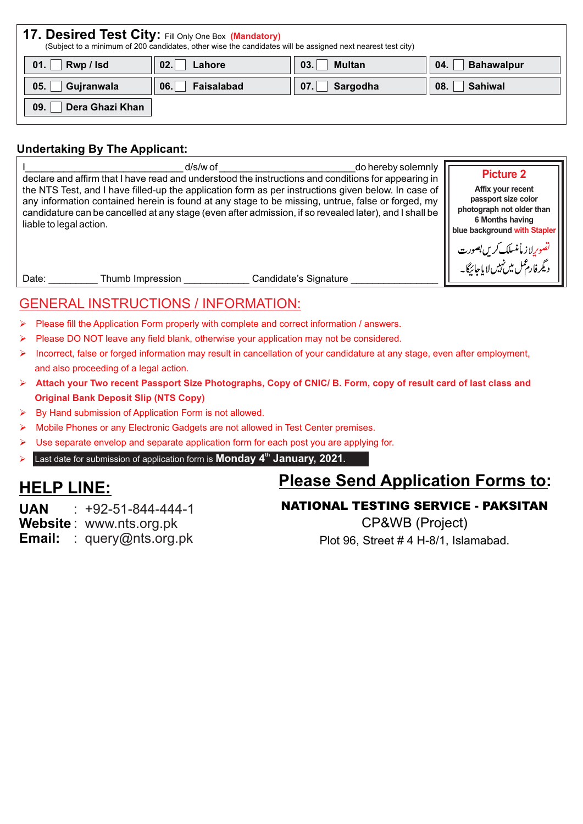| 17. Desired Test City: Fill Only One Box (Mandatory)<br>(Subject to a minimum of 200 candidates, other wise the candidates will be assigned next nearest test city) |                          |                 |                       |  |
|---------------------------------------------------------------------------------------------------------------------------------------------------------------------|--------------------------|-----------------|-----------------------|--|
| 01.<br>Rwp / Isd<br><b>Multan</b><br><b>Bahawalpur</b><br>04.<br>03.<br>02.1<br>Lahore                                                                              |                          |                 |                       |  |
| 05.<br>Gujranwala                                                                                                                                                   | <b>Faisalabad</b><br>06. | Sargodha<br>07. | 08.<br><b>Sahiwal</b> |  |
| 09.<br>Dera Ghazi Khan                                                                                                                                              |                          |                 |                       |  |

#### **Undertaking By The Applicant:**

| d/s/w of<br>do hereby solemnly<br>declare and affirm that I have read and understood the instructions and conditions for appearing in                                                                                                                                                                                                         | <b>Picture 2</b>                                                                                                         |
|-----------------------------------------------------------------------------------------------------------------------------------------------------------------------------------------------------------------------------------------------------------------------------------------------------------------------------------------------|--------------------------------------------------------------------------------------------------------------------------|
| the NTS Test, and I have filled-up the application form as per instructions given below. In case of<br>any information contained herein is found at any stage to be missing, untrue, false or forged, my<br>candidature can be cancelled at any stage (even after admission, if so revealed later), and I shall be<br>liable to legal action. | Affix your recent<br>passport size color<br>photograph not older than<br>6 Months having<br>blue background with Stapler |
| Candidate's Signature<br>Thumb Impression<br>Date:                                                                                                                                                                                                                                                                                            | تصوریااز مأمنسلک <i>کریں بصور</i> ت<br>دیگرفارم <sup>عمل</sup> میں نہیں لایاجائیگا۔                                      |

## GENERAL INSTRUCTIONS / INFORMATION:

- Please fill the Application Form properly with complete and correct information / answers.
- Please DO NOT leave any field blank, otherwise your application may not be considered.
- Ø Incorrect, false or forged information may result in cancellation of your candidature at any stage, even after employment, and also proceeding of a legal action.
- Ø **Attach your Two recent Passport Size Photographs, Copy of CNIC/ B. Form, copy of result card of last class and Original Bank Deposit Slip (NTS Copy)**
- $\triangleright$  By Hand submission of Application Form is not allowed.
- Ø Mobile Phones or any Electronic Gadgets are not allowed in Test Center premises.
- $\triangleright$  Use separate envelop and separate application form for each post you are applying for.
- Ø **Last date for submission of application form is Monday 4<sup>th</sup> January, 2021.**

## **HELP LINE:**

**UAN**  $: +92 - 51 - 844 - 444 - 1$ 

**Website** : www.nts.org.pk

## **Email:** : query@nts.org.pk

# **Please Send Application Forms to:**

### NATIONAL TESTING SERVICE - PAKSITAN

CP&WB (Project) Plot 96, Street # 4 H-8/1, Islamabad.